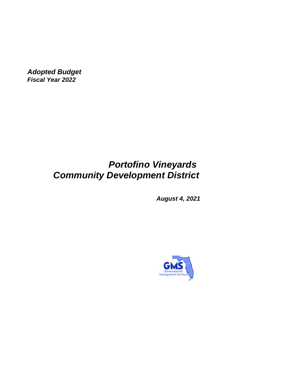*Adopted Budget Fiscal Year 2022*

# *Portofino Vineyards Community Development District*

*August 4, 2021*

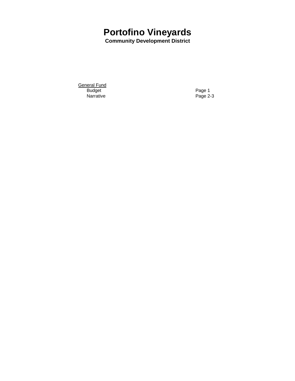# **Portofino Vineyards**

**Community Development District**

<u>General Fund</u> Budget **Page 1** Narrative Page 2-3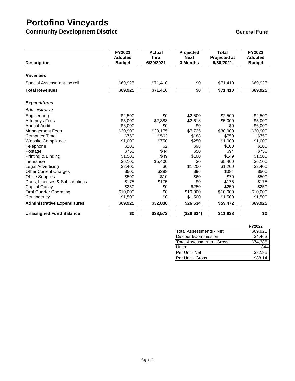# **Portofino Vineyards**

**Community Development District <b>General Fund** Community Development District

| <b>Description</b>                 | FY2021<br><b>Adopted</b><br><b>Budget</b> | <b>Actual</b><br>thru<br>6/30/2021 | Projected<br><b>Next</b><br>3 Months | <b>Total</b><br>Projected at<br>9/30/2021 | <b>FY2022</b><br><b>Adopted</b><br><b>Budget</b> |
|------------------------------------|-------------------------------------------|------------------------------------|--------------------------------------|-------------------------------------------|--------------------------------------------------|
| <b>Revenues</b>                    |                                           |                                    |                                      |                                           |                                                  |
| Special Assessment-tax roll        | \$69,925                                  | \$71,410                           | \$0                                  | \$71,410                                  | \$69,925                                         |
| <b>Total Revenues</b>              | \$69,925                                  | \$71,410                           | $\sqrt{$0}$                          | \$71,410                                  | \$69,925                                         |
| <b>Expenditures</b>                |                                           |                                    |                                      |                                           |                                                  |
| Administrative                     |                                           |                                    |                                      |                                           |                                                  |
| Engineering                        | \$2,500                                   | \$0                                | \$2,500                              | \$2,500                                   | \$2,500                                          |
| <b>Attorneys Fees</b>              | \$5,000                                   | \$2,383                            | \$2,618                              | \$5,000                                   | \$5,000                                          |
| <b>Annual Audit</b>                | \$6,000                                   | \$0                                | \$0                                  | \$0                                       | \$6,000                                          |
| <b>Management Fees</b>             | \$30,900                                  | \$23,175                           | \$7,725                              | \$30,900                                  | \$30,900                                         |
| <b>Computer Time</b>               | \$750                                     | \$563                              | \$188                                | \$750                                     | \$750                                            |
| <b>Website Compliance</b>          | \$1,000                                   | \$750                              | \$250                                | \$1,000                                   | \$1,000                                          |
| Telephone                          | \$100                                     | \$2                                | \$98                                 | \$100                                     | \$100                                            |
| Postage                            | \$750                                     | \$44                               | \$50                                 | \$94                                      | \$750                                            |
| Printing & Binding                 | \$1,500                                   | \$49                               | \$100                                | \$149                                     | \$1,500                                          |
| Insurance                          | \$6,100                                   | \$5,400                            | \$0                                  | \$5,400                                   | \$6,100                                          |
| Legal Advertising                  | \$2,400                                   | \$0                                | \$1,200                              | \$1,200                                   | \$2,400                                          |
| <b>Other Current Charges</b>       | \$500                                     | \$288                              | \$96                                 | \$384                                     | \$500                                            |
| <b>Office Supplies</b>             | \$500                                     | \$10                               | \$60                                 | \$70                                      | \$500                                            |
| Dues, Licenses & Subscriptions     | \$175                                     | \$175                              | \$0                                  | \$175                                     | \$175                                            |
| Capital Outlay                     | \$250                                     | \$0                                | \$250                                | \$250                                     | \$250                                            |
| <b>First Quarter Operating</b>     | \$10,000                                  | \$0                                | \$10,000                             | \$10,000                                  | \$10,000                                         |
| Contingency                        | \$1,500                                   | \$0                                | \$1,500                              | \$1,500                                   | \$1,500                                          |
| <b>Administrative Expenditures</b> | \$69,925                                  | \$32,838                           | \$26,634                             | \$59,472                                  | \$69,925                                         |
| <b>Unassigned Fund Balance</b>     | \$0                                       | \$38,572                           | (\$26,634)                           | \$11,938                                  | $\overline{50}$                                  |

|                            | FY2022   |
|----------------------------|----------|
| Total Assessments - Net    | \$69.925 |
| Discount/Commission        | \$4,463  |
| lTotal Assessments - Gross | \$74.388 |
| Units                      | 844      |
| Per Unit-Net               | \$82.85  |
| Per Unit - Gross           | \$88.14  |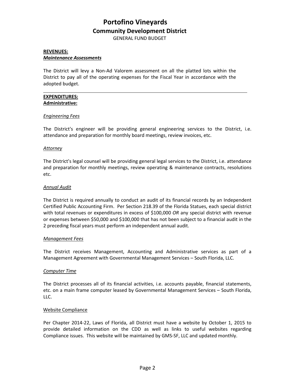# **Portofino Vineyards Community Development District**

GENERAL FUND BUDGET

## **REVENUES:** *Maintenance Assessments*

The District will levy a Non-Ad Valorem assessment on all the platted lots within the District to pay all of the operating expenses for the Fiscal Year in accordance with the adopted budget.

# **EXPENDITURES: Administrative:**

# *Engineering Fees*

The District's engineer will be providing general engineering services to the District, i.e. attendance and preparation for monthly board meetings, review invoices, etc.

## *Attorney*

The District's legal counsel will be providing general legal services to the District, i.e. attendance and preparation for monthly meetings, review operating & maintenance contracts, resolutions etc.

# *Annual Audit*

The District is required annually to conduct an audit of its financial records by an Independent Certified Public Accounting Firm. Per Section 218.39 of the Florida Statues, each special district with total revenues or expenditures in excess of \$100,000 *OR* any special district with revenue or expenses between \$50,000 and \$100,000 that has not been subject to a financial audit in the 2 preceding fiscal years must perform an independent annual audit.

### *Management Fees*

The District receives Management, Accounting and Administrative services as part of a Management Agreement with Governmental Management Services – South Florida, LLC.

### *Computer Time*

The District processes all of its financial activities, i.e. accounts payable, financial statements, etc. on a main frame computer leased by Governmental Management Services – South Florida, LLC.

### Website Compliance

Per Chapter 2014-22, Laws of Florida, all District must have a website by October 1, 2015 to provide detailed information on the CDD as well as links to useful websites regarding Compliance issues. This website will be maintained by GMS-SF, LLC and updated monthly.